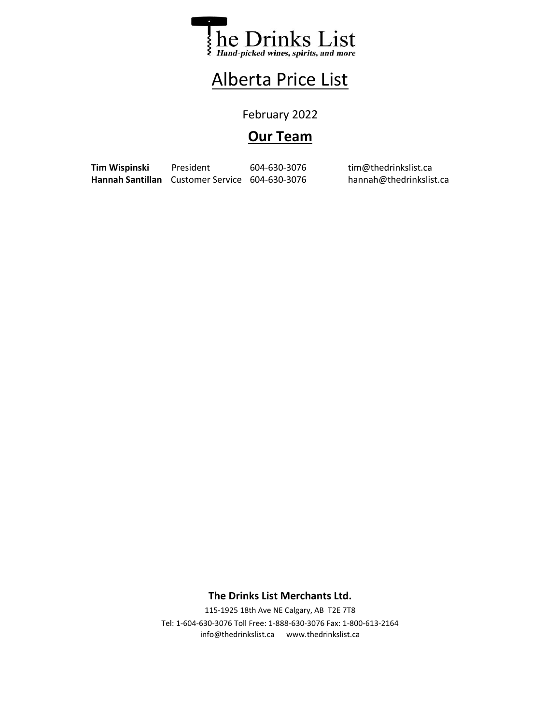

## Alberta Price List

February 2022

## **Our Team**

Tim Wispinski President 604-630-3076 tim@thedrinkslist.ca Hannah Santillan Customer Service 604-630-3076 hannah@thedrinkslist.ca

## **The Drinks List Merchants Ltd.**

info@thedrinkslist.ca www.thedrinkslist.ca 115-1925 18th Ave NE Calgary, AB T2E 7T8 Tel: 1-604-630-3076 Toll Free: 1-888-630-3076 Fax: 1-800-613-2164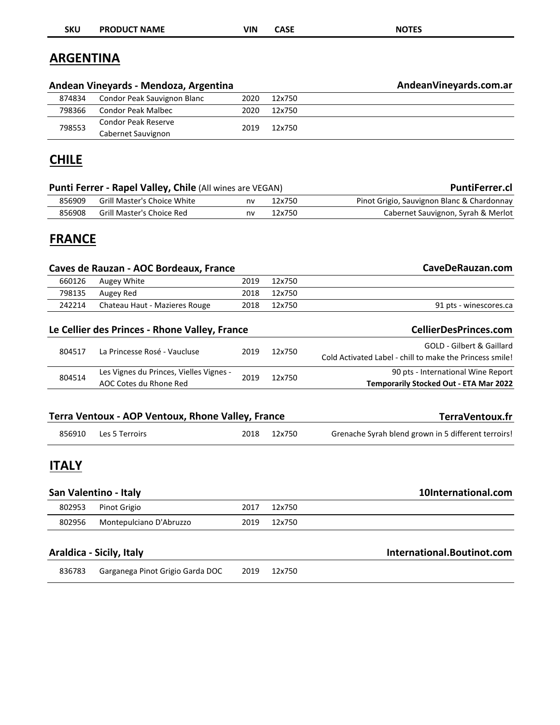| <b>SKU</b>       | <b>PRODUCT NAME</b>                                               | <b>VIN</b> | <b>CASE</b> | <b>NOTES</b>                                                                                     |
|------------------|-------------------------------------------------------------------|------------|-------------|--------------------------------------------------------------------------------------------------|
| <b>ARGENTINA</b> |                                                                   |            |             |                                                                                                  |
|                  | Andean Vineyards - Mendoza, Argentina                             |            |             | AndeanVineyards.com.ar                                                                           |
| 874834           | Condor Peak Sauvignon Blanc                                       | 2020       | 12x750      |                                                                                                  |
| 798366           | <b>Condor Peak Malbec</b>                                         | 2020       | 12x750      |                                                                                                  |
| 798553           | Condor Peak Reserve<br>Cabernet Sauvignon                         | 2019       | 12x750      |                                                                                                  |
| <b>CHILE</b>     |                                                                   |            |             |                                                                                                  |
|                  | <b>Punti Ferrer - Rapel Valley, Chile (All wines are VEGAN)</b>   |            |             | <b>PuntiFerrer.cl</b>                                                                            |
| 856909           | <b>Grill Master's Choice White</b>                                | nv         | 12x750      | Pinot Grigio, Sauvignon Blanc & Chardonnay                                                       |
| 856908           | <b>Grill Master's Choice Red</b>                                  | nv         | 12x750      | Cabernet Sauvignon, Syrah & Merlot                                                               |
| <b>FRANCE</b>    | Caves de Rauzan - AOC Bordeaux, France                            |            |             | CaveDeRauzan.com                                                                                 |
| 660126           | Augey White                                                       | 2019       | 12x750      |                                                                                                  |
| 798135           | Augey Red                                                         | 2018       | 12x750      |                                                                                                  |
| 242214           | Chateau Haut - Mazieres Rouge                                     | 2018       | 12x750      | 91 pts - winescores.ca                                                                           |
|                  | Le Cellier des Princes - Rhone Valley, France                     |            |             | <b>CellierDesPrinces.com</b>                                                                     |
| 804517           | La Princesse Rosé - Vaucluse                                      | 2019       | 12x750      | <b>GOLD - Gilbert &amp; Gaillard</b><br>Cold Activated Label - chill to make the Princess smile! |
| 804514           | Les Vignes du Princes, Vielles Vignes -<br>AOC Cotes du Rhone Red | 2019       | 12x750      | 90 pts - International Wine Report<br>Temporarily Stocked Out - ETA Mar 2022                     |
|                  | Terra Ventoux - AOP Ventoux, Rhone Valley, France                 |            |             | TerraVentoux.fr                                                                                  |
| 856910           | Les 5 Terroirs                                                    | 2018       | 12x750      | Grenache Syrah blend grown in 5 different terroirs!                                              |
| <b>ITALY</b>     |                                                                   |            |             |                                                                                                  |
|                  | San Valentino - Italy                                             |            |             | 10International.com                                                                              |
| 802953           | Pinot Grigio                                                      | 2017       | 12x750      |                                                                                                  |
| 802956           | Montepulciano D'Abruzzo                                           | 2019       | 12x750      |                                                                                                  |
|                  | Araldica - Sicily, Italy                                          |            |             | International.Boutinot.com                                                                       |
| 836783           | Garganega Pinot Grigio Garda DOC                                  | 2019       | 12x750      |                                                                                                  |